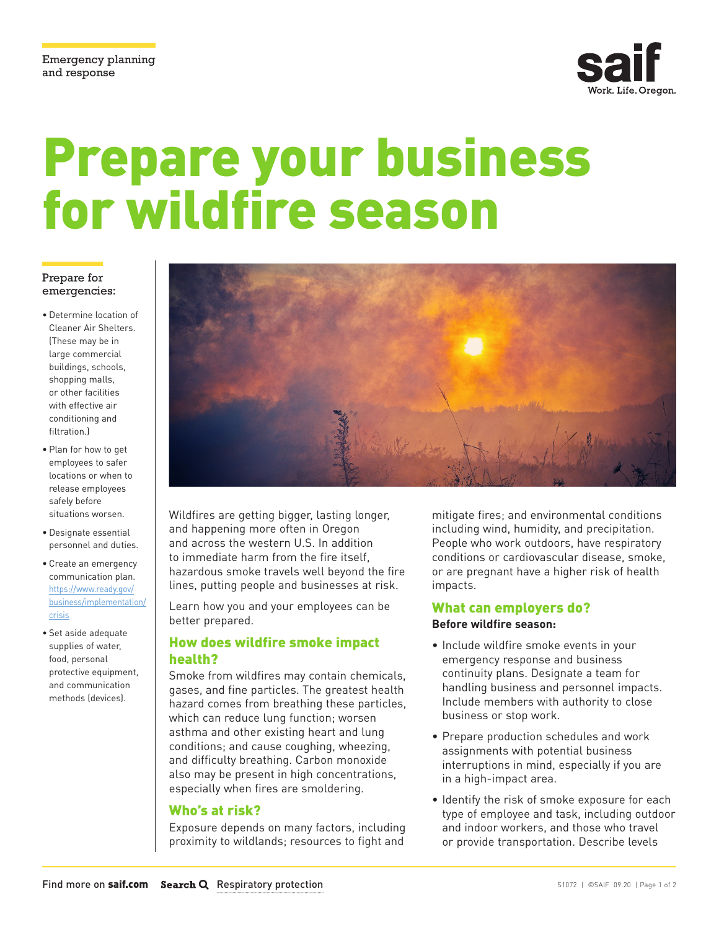

# Prepare your business for wildfire season

#### Prepare for emergencies:

- Determine location of Cleaner Air Shelters. (These may be in large commercial buildings, schools, shopping malls, or other facilities with effective air conditioning and filtration.)
- Plan for how to get employees to safer locations or when to release employees safely before situations worsen.
- Designate essential personnel and duties.
- [Create an emergency](https://www.ready.gov/business/implementation/crisis)  communication plan. https://www.ready.gov/ business/implementation/ crisis
- Set aside adequate supplies of water, food, personal protective equipment, and communication methods (devices).



Wildfires are getting bigger, lasting longer, and happening more often in Oregon and across the western U.S. In addition to immediate harm from the fire itself, hazardous smoke travels well beyond the fire lines, putting people and businesses at risk.

Learn how you and your employees can be better prepared.

## How does wildfire smoke impact health?

Smoke from wildfires may contain chemicals, gases, and fine particles. The greatest health hazard comes from breathing these particles, which can reduce lung function; worsen asthma and other existing heart and lung conditions; and cause coughing, wheezing, and difficulty breathing. Carbon monoxide also may be present in high concentrations, especially when fires are smoldering.

#### Who's at risk?

Exposure depends on many factors, including proximity to wildlands; resources to fight and

mitigate fires; and environmental conditions including wind, humidity, and precipitation. People who work outdoors, have respiratory conditions or cardiovascular disease, smoke, or are pregnant have a higher risk of health impacts.

## What can employers do? **Before wildfire season:**

- Include wildfire smoke events in your emergency response and business continuity plans. Designate a team for handling business and personnel impacts. Include members with authority to close business or stop work.
- Prepare production schedules and work assignments with potential business interruptions in mind, especially if you are in a high-impact area.
- Identify the risk of smoke exposure for each type of employee and task, including outdoor and indoor workers, and those who travel or provide transportation. Describe levels